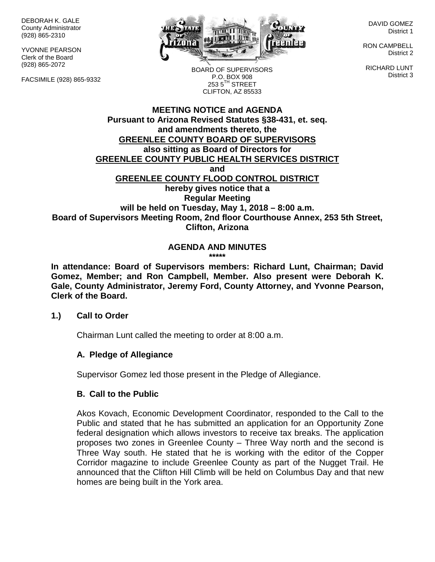DEBORAH K. GALE County Administrator (928) 865-2310

YVONNE PEARSON Clerk of the Board (928) 865-2072

FACSIMILE (928) 865-9332



DAVID GOMEZ District 1

RON CAMPBELL District 2

RICHARD LUNT District 3

BOARD OF SUPERVISORS P.O. BOX 908  $253.5$ <sup>TH</sup> STREET CLIFTON, AZ 85533

#### **MEETING NOTICE and AGENDA Pursuant to Arizona Revised Statutes §38-431, et. seq. and amendments thereto, the GREENLEE COUNTY BOARD OF SUPERVISORS also sitting as Board of Directors for GREENLEE COUNTY PUBLIC HEALTH SERVICES DISTRICT and GREENLEE COUNTY FLOOD CONTROL DISTRICT hereby gives notice that a Regular Meeting will be held on Tuesday, May 1, 2018 – 8:00 a.m. Board of Supervisors Meeting Room, 2nd floor Courthouse Annex, 253 5th Street, Clifton, Arizona**

#### **AGENDA AND MINUTES \*\*\*\*\***

**In attendance: Board of Supervisors members: Richard Lunt, Chairman; David Gomez, Member; and Ron Campbell, Member. Also present were Deborah K. Gale, County Administrator, Jeremy Ford, County Attorney, and Yvonne Pearson, Clerk of the Board.**

## **1.) Call to Order**

Chairman Lunt called the meeting to order at 8:00 a.m.

## **A. Pledge of Allegiance**

Supervisor Gomez led those present in the Pledge of Allegiance.

## **B. Call to the Public**

Akos Kovach, Economic Development Coordinator, responded to the Call to the Public and stated that he has submitted an application for an Opportunity Zone federal designation which allows investors to receive tax breaks. The application proposes two zones in Greenlee County – Three Way north and the second is Three Way south. He stated that he is working with the editor of the Copper Corridor magazine to include Greenlee County as part of the Nugget Trail. He announced that the Clifton Hill Climb will be held on Columbus Day and that new homes are being built in the York area.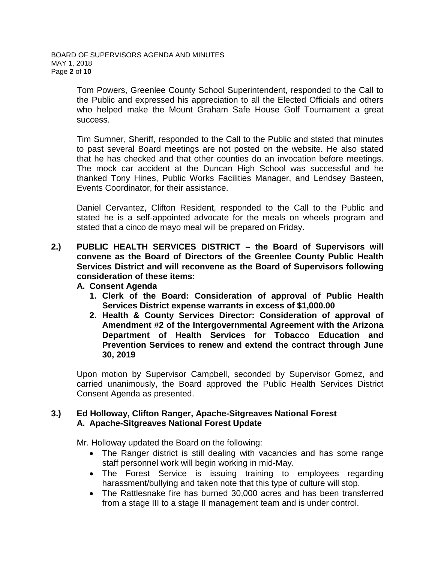Tom Powers, Greenlee County School Superintendent, responded to the Call to the Public and expressed his appreciation to all the Elected Officials and others who helped make the Mount Graham Safe House Golf Tournament a great success.

Tim Sumner, Sheriff, responded to the Call to the Public and stated that minutes to past several Board meetings are not posted on the website. He also stated that he has checked and that other counties do an invocation before meetings. The mock car accident at the Duncan High School was successful and he thanked Tony Hines, Public Works Facilities Manager, and Lendsey Basteen, Events Coordinator, for their assistance.

Daniel Cervantez, Clifton Resident, responded to the Call to the Public and stated he is a self-appointed advocate for the meals on wheels program and stated that a cinco de mayo meal will be prepared on Friday.

**2.) PUBLIC HEALTH SERVICES DISTRICT – the Board of Supervisors will convene as the Board of Directors of the Greenlee County Public Health Services District and will reconvene as the Board of Supervisors following consideration of these items:**

## **A. Consent Agenda**

- **1. Clerk of the Board: Consideration of approval of Public Health Services District expense warrants in excess of \$1,000.00**
- **2. Health & County Services Director: Consideration of approval of Amendment #2 of the Intergovernmental Agreement with the Arizona Department of Health Services for Tobacco Education and Prevention Services to renew and extend the contract through June 30, 2019**

Upon motion by Supervisor Campbell, seconded by Supervisor Gomez, and carried unanimously, the Board approved the Public Health Services District Consent Agenda as presented.

## **3.) Ed Holloway, Clifton Ranger, Apache-Sitgreaves National Forest A. Apache-Sitgreaves National Forest Update**

Mr. Holloway updated the Board on the following:

- The Ranger district is still dealing with vacancies and has some range staff personnel work will begin working in mid-May.
- The Forest Service is issuing training to employees regarding harassment/bullying and taken note that this type of culture will stop.
- The Rattlesnake fire has burned 30,000 acres and has been transferred from a stage III to a stage II management team and is under control.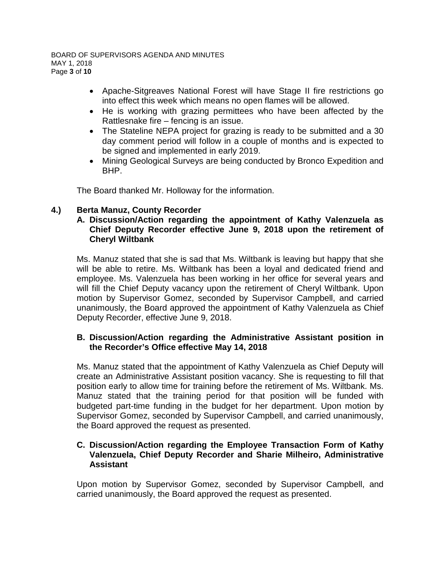- Apache-Sitgreaves National Forest will have Stage II fire restrictions go into effect this week which means no open flames will be allowed.
- He is working with grazing permittees who have been affected by the Rattlesnake fire – fencing is an issue.
- The Stateline NEPA project for grazing is ready to be submitted and a 30 day comment period will follow in a couple of months and is expected to be signed and implemented in early 2019.
- Mining Geological Surveys are being conducted by Bronco Expedition and BHP.

The Board thanked Mr. Holloway for the information.

# **4.) Berta Manuz, County Recorder**

## **A. Discussion/Action regarding the appointment of Kathy Valenzuela as Chief Deputy Recorder effective June 9, 2018 upon the retirement of Cheryl Wiltbank**

Ms. Manuz stated that she is sad that Ms. Wiltbank is leaving but happy that she will be able to retire. Ms. Wiltbank has been a loyal and dedicated friend and employee. Ms. Valenzuela has been working in her office for several years and will fill the Chief Deputy vacancy upon the retirement of Cheryl Wiltbank. Upon motion by Supervisor Gomez, seconded by Supervisor Campbell, and carried unanimously, the Board approved the appointment of Kathy Valenzuela as Chief Deputy Recorder, effective June 9, 2018.

## **B. Discussion/Action regarding the Administrative Assistant position in the Recorder's Office effective May 14, 2018**

Ms. Manuz stated that the appointment of Kathy Valenzuela as Chief Deputy will create an Administrative Assistant position vacancy. She is requesting to fill that position early to allow time for training before the retirement of Ms. Wiltbank. Ms. Manuz stated that the training period for that position will be funded with budgeted part-time funding in the budget for her department. Upon motion by Supervisor Gomez, seconded by Supervisor Campbell, and carried unanimously, the Board approved the request as presented.

## **C. Discussion/Action regarding the Employee Transaction Form of Kathy Valenzuela, Chief Deputy Recorder and Sharie Milheiro, Administrative Assistant**

Upon motion by Supervisor Gomez, seconded by Supervisor Campbell, and carried unanimously, the Board approved the request as presented.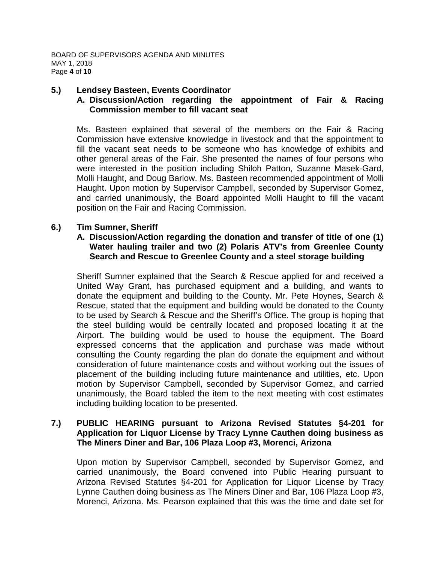## **5.) Lendsey Basteen, Events Coordinator**

## **A. Discussion/Action regarding the appointment of Fair & Racing Commission member to fill vacant seat**

Ms. Basteen explained that several of the members on the Fair & Racing Commission have extensive knowledge in livestock and that the appointment to fill the vacant seat needs to be someone who has knowledge of exhibits and other general areas of the Fair. She presented the names of four persons who were interested in the position including Shiloh Patton, Suzanne Masek-Gard, Molli Haught, and Doug Barlow. Ms. Basteen recommended appointment of Molli Haught. Upon motion by Supervisor Campbell, seconded by Supervisor Gomez, and carried unanimously, the Board appointed Molli Haught to fill the vacant position on the Fair and Racing Commission.

## **6.) Tim Sumner, Sheriff**

## **A. Discussion/Action regarding the donation and transfer of title of one (1) Water hauling trailer and two (2) Polaris ATV's from Greenlee County Search and Rescue to Greenlee County and a steel storage building**

Sheriff Sumner explained that the Search & Rescue applied for and received a United Way Grant, has purchased equipment and a building, and wants to donate the equipment and building to the County. Mr. Pete Hoynes, Search & Rescue, stated that the equipment and building would be donated to the County to be used by Search & Rescue and the Sheriff's Office. The group is hoping that the steel building would be centrally located and proposed locating it at the Airport. The building would be used to house the equipment. The Board expressed concerns that the application and purchase was made without consulting the County regarding the plan do donate the equipment and without consideration of future maintenance costs and without working out the issues of placement of the building including future maintenance and utilities, etc. Upon motion by Supervisor Campbell, seconded by Supervisor Gomez, and carried unanimously, the Board tabled the item to the next meeting with cost estimates including building location to be presented.

#### **7.) PUBLIC HEARING pursuant to Arizona Revised Statutes §4-201 for Application for Liquor License by Tracy Lynne Cauthen doing business as The Miners Diner and Bar, 106 Plaza Loop #3, Morenci, Arizona**

Upon motion by Supervisor Campbell, seconded by Supervisor Gomez, and carried unanimously, the Board convened into Public Hearing pursuant to Arizona Revised Statutes §4-201 for Application for Liquor License by Tracy Lynne Cauthen doing business as The Miners Diner and Bar, 106 Plaza Loop #3, Morenci, Arizona. Ms. Pearson explained that this was the time and date set for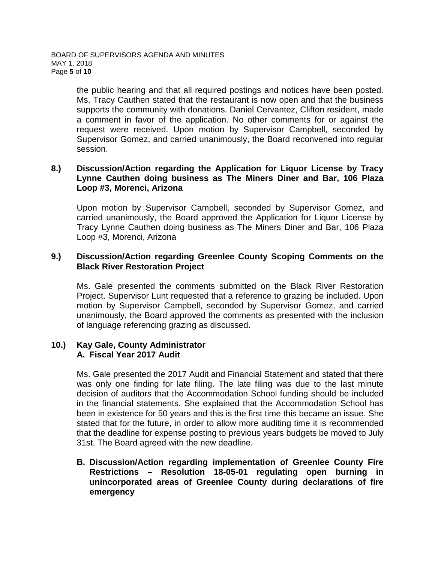the public hearing and that all required postings and notices have been posted. Ms. Tracy Cauthen stated that the restaurant is now open and that the business supports the community with donations. Daniel Cervantez, Clifton resident, made a comment in favor of the application. No other comments for or against the request were received. Upon motion by Supervisor Campbell, seconded by Supervisor Gomez, and carried unanimously, the Board reconvened into regular session.

#### **8.) Discussion/Action regarding the Application for Liquor License by Tracy Lynne Cauthen doing business as The Miners Diner and Bar, 106 Plaza Loop #3, Morenci, Arizona**

Upon motion by Supervisor Campbell, seconded by Supervisor Gomez, and carried unanimously, the Board approved the Application for Liquor License by Tracy Lynne Cauthen doing business as The Miners Diner and Bar, 106 Plaza Loop #3, Morenci, Arizona

## **9.) Discussion/Action regarding Greenlee County Scoping Comments on the Black River Restoration Project**

Ms. Gale presented the comments submitted on the Black River Restoration Project. Supervisor Lunt requested that a reference to grazing be included. Upon motion by Supervisor Campbell, seconded by Supervisor Gomez, and carried unanimously, the Board approved the comments as presented with the inclusion of language referencing grazing as discussed.

## **10.) Kay Gale, County Administrator A. Fiscal Year 2017 Audit**

Ms. Gale presented the 2017 Audit and Financial Statement and stated that there was only one finding for late filing. The late filing was due to the last minute decision of auditors that the Accommodation School funding should be included in the financial statements. She explained that the Accommodation School has been in existence for 50 years and this is the first time this became an issue. She stated that for the future, in order to allow more auditing time it is recommended that the deadline for expense posting to previous years budgets be moved to July 31st. The Board agreed with the new deadline.

**B. Discussion/Action regarding implementation of Greenlee County Fire Restrictions – Resolution 18-05-01 regulating open burning in unincorporated areas of Greenlee County during declarations of fire emergency**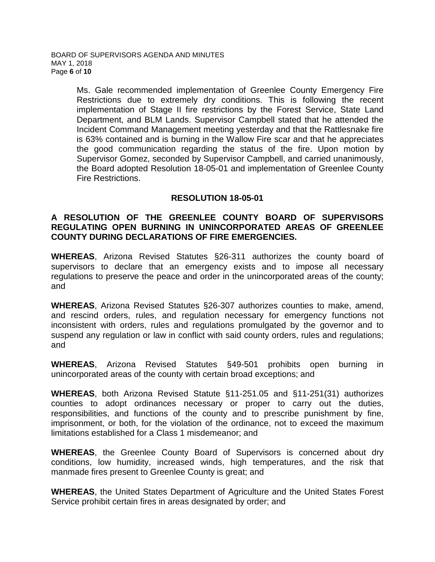Ms. Gale recommended implementation of Greenlee County Emergency Fire Restrictions due to extremely dry conditions. This is following the recent implementation of Stage II fire restrictions by the Forest Service, State Land Department, and BLM Lands. Supervisor Campbell stated that he attended the Incident Command Management meeting yesterday and that the Rattlesnake fire is 63% contained and is burning in the Wallow Fire scar and that he appreciates the good communication regarding the status of the fire. Upon motion by Supervisor Gomez, seconded by Supervisor Campbell, and carried unanimously, the Board adopted Resolution 18-05-01 and implementation of Greenlee County Fire Restrictions.

## **RESOLUTION 18-05-01**

## **A RESOLUTION OF THE GREENLEE COUNTY BOARD OF SUPERVISORS REGULATING OPEN BURNING IN UNINCORPORATED AREAS OF GREENLEE COUNTY DURING DECLARATIONS OF FIRE EMERGENCIES.**

**WHEREAS**, Arizona Revised Statutes §26-311 authorizes the county board of supervisors to declare that an emergency exists and to impose all necessary regulations to preserve the peace and order in the unincorporated areas of the county; and

**WHEREAS**, Arizona Revised Statutes §26-307 authorizes counties to make, amend, and rescind orders, rules, and regulation necessary for emergency functions not inconsistent with orders, rules and regulations promulgated by the governor and to suspend any regulation or law in conflict with said county orders, rules and regulations; and

**WHEREAS**, Arizona Revised Statutes §49-501 prohibits open burning in unincorporated areas of the county with certain broad exceptions; and

**WHEREAS**, both Arizona Revised Statute §11-251.05 and §11-251(31) authorizes counties to adopt ordinances necessary or proper to carry out the duties, responsibilities, and functions of the county and to prescribe punishment by fine, imprisonment, or both, for the violation of the ordinance, not to exceed the maximum limitations established for a Class 1 misdemeanor; and

**WHEREAS**, the Greenlee County Board of Supervisors is concerned about dry conditions, low humidity, increased winds, high temperatures, and the risk that manmade fires present to Greenlee County is great; and

**WHEREAS**, the United States Department of Agriculture and the United States Forest Service prohibit certain fires in areas designated by order; and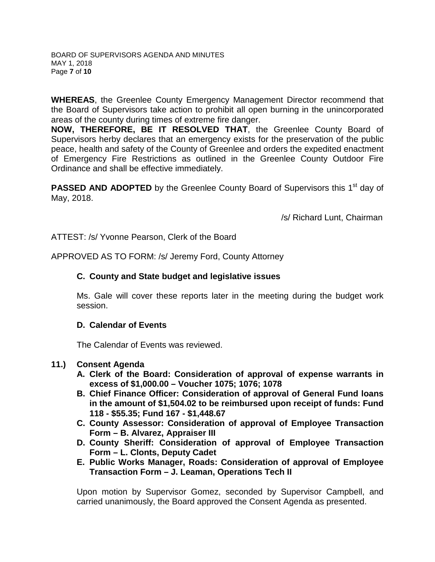**WHEREAS**, the Greenlee County Emergency Management Director recommend that the Board of Supervisors take action to prohibit all open burning in the unincorporated areas of the county during times of extreme fire danger.

**NOW, THEREFORE, BE IT RESOLVED THAT**, the Greenlee County Board of Supervisors herby declares that an emergency exists for the preservation of the public peace, health and safety of the County of Greenlee and orders the expedited enactment of Emergency Fire Restrictions as outlined in the Greenlee County Outdoor Fire Ordinance and shall be effective immediately.

**PASSED AND ADOPTED** by the Greenlee County Board of Supervisors this 1<sup>st</sup> day of May, 2018.

/s/ Richard Lunt, Chairman

ATTEST: /s/ Yvonne Pearson, Clerk of the Board

APPROVED AS TO FORM: /s/ Jeremy Ford, County Attorney

## **C. County and State budget and legislative issues**

Ms. Gale will cover these reports later in the meeting during the budget work session.

## **D. Calendar of Events**

The Calendar of Events was reviewed.

## **11.) Consent Agenda**

- **A. Clerk of the Board: Consideration of approval of expense warrants in excess of \$1,000.00 – Voucher 1075; 1076; 1078**
- **B. Chief Finance Officer: Consideration of approval of General Fund loans in the amount of \$1,504.02 to be reimbursed upon receipt of funds: Fund 118 - \$55.35; Fund 167 - \$1,448.67**
- **C. County Assessor: Consideration of approval of Employee Transaction Form – B. Alvarez, Appraiser III**
- **D. County Sheriff: Consideration of approval of Employee Transaction Form – L. Clonts, Deputy Cadet**
- **E. Public Works Manager, Roads: Consideration of approval of Employee Transaction Form – J. Leaman, Operations Tech II**

Upon motion by Supervisor Gomez, seconded by Supervisor Campbell, and carried unanimously, the Board approved the Consent Agenda as presented.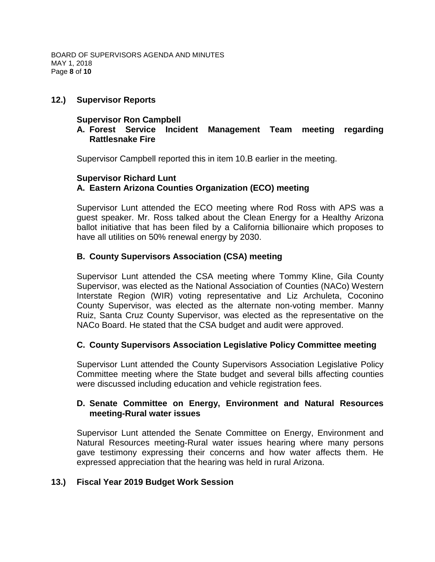## **12.) Supervisor Reports**

## **Supervisor Ron Campbell**

## **A. Forest Service Incident Management Team meeting regarding Rattlesnake Fire**

Supervisor Campbell reported this in item 10.B earlier in the meeting.

## **Supervisor Richard Lunt A. Eastern Arizona Counties Organization (ECO) meeting**

Supervisor Lunt attended the ECO meeting where Rod Ross with APS was a guest speaker. Mr. Ross talked about the Clean Energy for a Healthy Arizona ballot initiative that has been filed by a California billionaire which proposes to have all utilities on 50% renewal energy by 2030.

## **B. County Supervisors Association (CSA) meeting**

Supervisor Lunt attended the CSA meeting where Tommy Kline, Gila County Supervisor, was elected as the National Association of Counties (NACo) Western Interstate Region (WIR) voting representative and Liz Archuleta, Coconino County Supervisor, was elected as the alternate non-voting member. Manny Ruiz, Santa Cruz County Supervisor, was elected as the representative on the NACo Board. He stated that the CSA budget and audit were approved.

## **C. County Supervisors Association Legislative Policy Committee meeting**

Supervisor Lunt attended the County Supervisors Association Legislative Policy Committee meeting where the State budget and several bills affecting counties were discussed including education and vehicle registration fees.

## **D. Senate Committee on Energy, Environment and Natural Resources meeting-Rural water issues**

Supervisor Lunt attended the Senate Committee on Energy, Environment and Natural Resources meeting-Rural water issues hearing where many persons gave testimony expressing their concerns and how water affects them. He expressed appreciation that the hearing was held in rural Arizona.

## **13.) Fiscal Year 2019 Budget Work Session**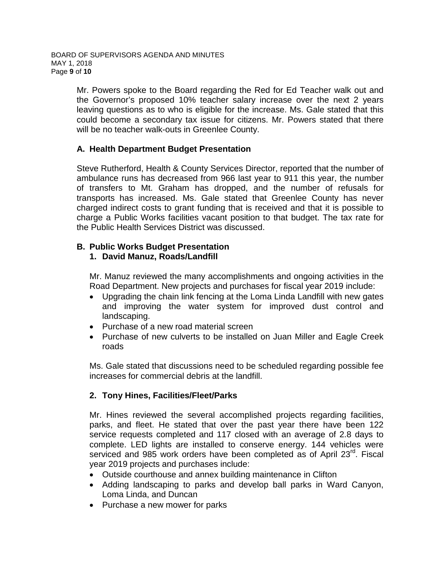Mr. Powers spoke to the Board regarding the Red for Ed Teacher walk out and the Governor's proposed 10% teacher salary increase over the next 2 years leaving questions as to who is eligible for the increase. Ms. Gale stated that this could become a secondary tax issue for citizens. Mr. Powers stated that there will be no teacher walk-outs in Greenlee County.

# **A. Health Department Budget Presentation**

Steve Rutherford, Health & County Services Director, reported that the number of ambulance runs has decreased from 966 last year to 911 this year, the number of transfers to Mt. Graham has dropped, and the number of refusals for transports has increased. Ms. Gale stated that Greenlee County has never charged indirect costs to grant funding that is received and that it is possible to charge a Public Works facilities vacant position to that budget. The tax rate for the Public Health Services District was discussed.

## **B. Public Works Budget Presentation**

## **1. David Manuz, Roads/Landfill**

Mr. Manuz reviewed the many accomplishments and ongoing activities in the Road Department. New projects and purchases for fiscal year 2019 include:

- Upgrading the chain link fencing at the Loma Linda Landfill with new gates and improving the water system for improved dust control and landscaping.
- Purchase of a new road material screen
- Purchase of new culverts to be installed on Juan Miller and Eagle Creek roads

Ms. Gale stated that discussions need to be scheduled regarding possible fee increases for commercial debris at the landfill.

# **2. Tony Hines, Facilities/Fleet/Parks**

Mr. Hines reviewed the several accomplished projects regarding facilities, parks, and fleet. He stated that over the past year there have been 122 service requests completed and 117 closed with an average of 2.8 days to complete. LED lights are installed to conserve energy. 144 vehicles were serviced and 985 work orders have been completed as of April 23<sup>rd</sup>. Fiscal year 2019 projects and purchases include:

- Outside courthouse and annex building maintenance in Clifton
- Adding landscaping to parks and develop ball parks in Ward Canyon, Loma Linda, and Duncan
- Purchase a new mower for parks